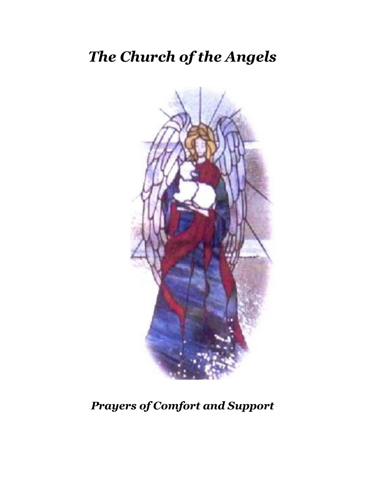# *The Church of the Angels*



*Prayers of Comfort and Support*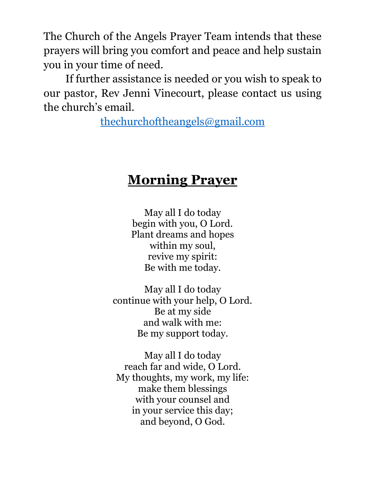The Church of the Angels Prayer Team intends that these prayers will bring you comfort and peace and help sustain you in your time of need.

If further assistance is needed or you wish to speak to our pastor, Rev Jenni Vinecourt, please contact us using the church's email.

[thechurchoftheangels@gmail.com](mailto:thechurchoftheangels@gmail.com)

## **Morning Prayer**

May all I do today begin with you, O Lord. Plant dreams and hopes within my soul, revive my spirit: Be with me today.

May all I do today continue with your help, O Lord. Be at my side and walk with me: Be my support today.

May all I do today reach far and wide, O Lord. My thoughts, my work, my life: make them blessings with your counsel and in your service this day; and beyond, O God.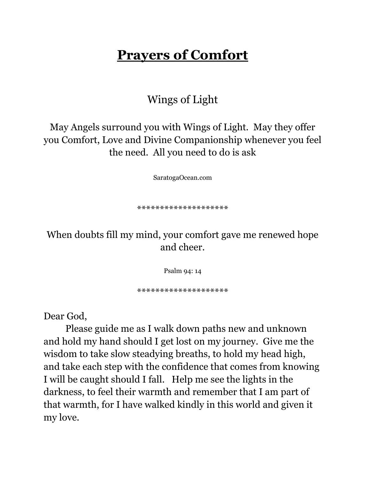## **Prayers of Comfort**

#### Wings of Light

May Angels surround you with Wings of Light. May they offer you Comfort, Love and Divine Companionship whenever you feel the need. All you need to do is ask

SaratogaOcean.com

\*\*\*\*\*\*\*\*\*\*\*\*\*\*\*\*\*

When doubts fill my mind, your comfort gave me renewed hope and cheer.

Psalm 94: 14

\*\*\*\*\*\*\*\*\*\*\*\*\*\*\*\*\*\*\*\*

Dear God,

Please guide me as I walk down paths new and unknown and hold my hand should I get lost on my journey. Give me the wisdom to take slow steadying breaths, to hold my head high, and take each step with the confidence that comes from knowing I will be caught should I fall. Help me see the lights in the darkness, to feel their warmth and remember that I am part of that warmth, for I have walked kindly in this world and given it my love.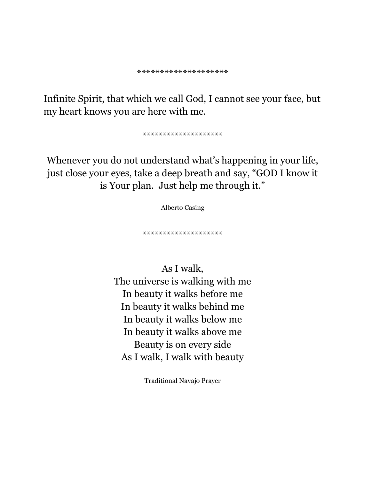Infinite Spirit, that which we call God, I cannot see your face, but my heart knows you are here with me.

\*\*\*\*\*\*\*\*\*\*\*\*\*\*\*\*\*\*

Whenever you do not understand what's happening in your life, just close your eyes, take a deep breath and say, "GOD I know it is Your plan. Just help me through it."

Alberto Casing

\*\*\*\*\*\*\*\*\*\*\*\*\*\*\*\*\*\*

As I walk, The universe is walking with me In beauty it walks before me In beauty it walks behind me In beauty it walks below me In beauty it walks above me Beauty is on every side As I walk, I walk with beauty

Traditional Navajo Prayer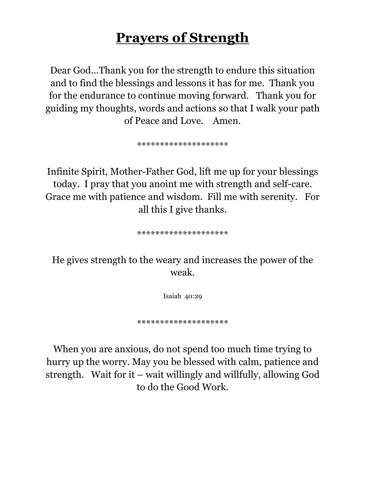## **Prayers of Strength**

Dear God…Thank you for the strength to endure this situation and to find the blessings and lessons it has for me. Thank you for the endurance to continue moving forward. Thank you for guiding my thoughts, words and actions so that I walk your path of Peace and Love. Amen.

\*\*\*\*\*\*\*\*\*\*\*\*\*\*\*\*\*\*\*\*

Infinite Spirit, Mother-Father God, lift me up for your blessings today. I pray that you anoint me with strength and self-care. Grace me with patience and wisdom. Fill me with serenity. For all this I give thanks.

\*\*\*\*\*\*\*\*\*\*\*\*\*\*\*\*\*\*\*\*

He gives strength to the weary and increases the power of the weak.

Isaiah 40:29

\*\*\*\*\*\*\*\*\*\*\*\*\*\*\*\*\*\*\*\*

When you are anxious, do not spend too much time trying to hurry up the worry. May you be blessed with calm, patience and strength. Wait for it – wait willingly and willfully, allowing God to do the Good Work.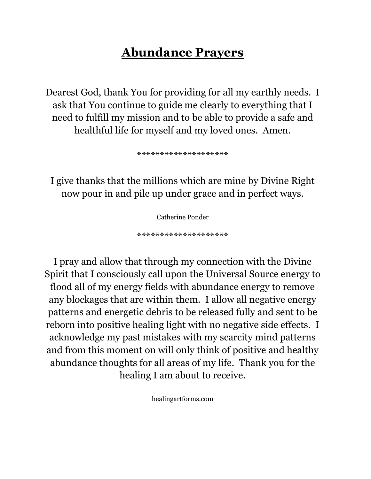## **Abundance Prayers**

Dearest God, thank You for providing for all my earthly needs. I ask that You continue to guide me clearly to everything that I need to fulfill my mission and to be able to provide a safe and healthful life for myself and my loved ones. Amen.

\*\*\*\*\*\*\*\*\*\*\*\*\*\*\*\*\*\*\*\*

I give thanks that the millions which are mine by Divine Right now pour in and pile up under grace and in perfect ways.

Catherine Ponder

\*\*\*\*\*\*\*\*\*\*\*\*\*\*\*\*\*\*\*\*

I pray and allow that through my connection with the Divine Spirit that I consciously call upon the Universal Source energy to flood all of my energy fields with abundance energy to remove any blockages that are within them. I allow all negative energy patterns and energetic debris to be released fully and sent to be reborn into positive healing light with no negative side effects. I acknowledge my past mistakes with my scarcity mind patterns and from this moment on will only think of positive and healthy abundance thoughts for all areas of my life. Thank you for the healing I am about to receive.

healingartforms.com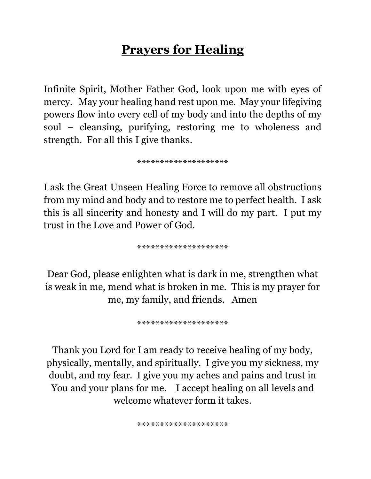## **Prayers for Healing**

Infinite Spirit, Mother Father God, look upon me with eyes of mercy. May your healing hand rest upon me. May your lifegiving powers flow into every cell of my body and into the depths of my soul – cleansing, purifying, restoring me to wholeness and strength. For all this I give thanks.

\*\*\*\*\*\*\*\*\*\*\*\*\*\*\*\*\*

I ask the Great Unseen Healing Force to remove all obstructions from my mind and body and to restore me to perfect health. I ask this is all sincerity and honesty and I will do my part. I put my trust in the Love and Power of God.

\*\*\*\*\*\*\*\*\*\*\*\*\*\*\*\*\*\*\*\*

Dear God, please enlighten what is dark in me, strengthen what is weak in me, mend what is broken in me. This is my prayer for me, my family, and friends. Amen

\*\*\*\*\*\*\*\*\*\*\*\*\*\*\*\*\*\*\*\*

Thank you Lord for I am ready to receive healing of my body, physically, mentally, and spiritually. I give you my sickness, my doubt, and my fear. I give you my aches and pains and trust in You and your plans for me. I accept healing on all levels and welcome whatever form it takes.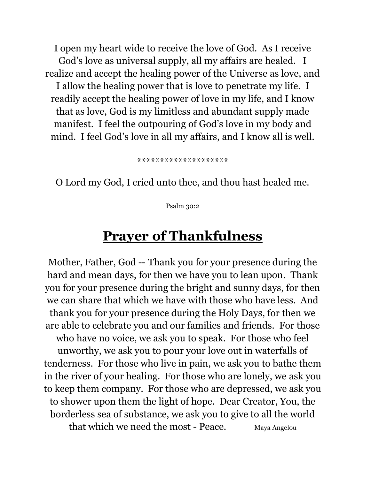I open my heart wide to receive the love of God. As I receive God's love as universal supply, all my affairs are healed. I realize and accept the healing power of the Universe as love, and I allow the healing power that is love to penetrate my life. I readily accept the healing power of love in my life, and I know that as love, God is my limitless and abundant supply made manifest. I feel the outpouring of God's love in my body and mind. I feel God's love in all my affairs, and I know all is well.

\*\*\*\*\*\*\*\*\*\*\*\*\*\*\*\*\*\*\*\*

O Lord my God, I cried unto thee, and thou hast healed me.

Psalm 30:2

#### **Prayer of Thankfulness**

Mother, Father, God -- Thank you for your presence during the hard and mean days, for then we have you to lean upon. Thank you for your presence during the bright and sunny days, for then we can share that which we have with those who have less. And thank you for your presence during the Holy Days, for then we are able to celebrate you and our families and friends. For those who have no voice, we ask you to speak. For those who feel unworthy, we ask you to pour your love out in waterfalls of tenderness. For those who live in pain, we ask you to bathe them in the river of your healing. For those who are lonely, we ask you to keep them company. For those who are depressed, we ask you to shower upon them the light of hope. Dear Creator, You, the borderless sea of substance, we ask you to give to all the world that which we need the most - Peace. Maya Angelou